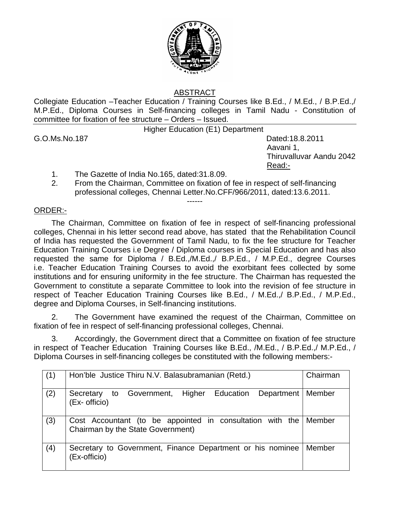

## ABSTRACT

Collegiate Education –Teacher Education / Training Courses like B.Ed., / M.Ed., / B.P.Ed.,/ M.P.Ed., Diploma Courses in Self-financing colleges in Tamil Nadu - Constitution of committee for fixation of fee structure – Orders – Issued.

Higher Education (E1) Department

G.O.Ms.No.187 Dated:18.8.2011 Aavani 1, Thiruvalluvar Aandu 2042 Read:-

- 1. The Gazette of India No.165, dated:31.8.09.
- 2. From the Chairman, Committee on fixation of fee in respect of self-financing professional colleges, Chennai Letter.No.CFF/966/2011, dated:13.6.2011. ------

## ORDER:-

The Chairman, Committee on fixation of fee in respect of self-financing professional colleges, Chennai in his letter second read above, has stated that the Rehabilitation Council of India has requested the Government of Tamil Nadu, to fix the fee structure for Teacher Education Training Courses i.e Degree / Diploma courses in Special Education and has also requested the same for Diploma / B.Ed.,/M.Ed.,/ B.P.Ed., / M.P.Ed., degree Courses i.e. Teacher Education Training Courses to avoid the exorbitant fees collected by some institutions and for ensuring uniformity in the fee structure. The Chairman has requested the Government to constitute a separate Committee to look into the revision of fee structure in respect of Teacher Education Training Courses like B.Ed., / M.Ed.,/ B.P.Ed., / M.P.Ed., degree and Diploma Courses, in Self-financing institutions.

2. The Government have examined the request of the Chairman, Committee on fixation of fee in respect of self-financing professional colleges, Chennai.

3. Accordingly, the Government direct that a Committee on fixation of fee structure in respect of Teacher Education Training Courses like B.Ed., /M.Ed., / B.P.Ed.,/ M.P.Ed., / Diploma Courses in self-financing colleges be constituted with the following members:-

| (1) | Hon'ble Justice Thiru N.V. Balasubramanian (Retd.)                                             | Chairman |
|-----|------------------------------------------------------------------------------------------------|----------|
| (2) | Higher Education<br>Department<br>to Government,<br>Secretary<br>(Ex- officio)                 | Member   |
| (3) | Cost Accountant (to be appointed in consultation with the<br>Chairman by the State Government) | Member   |
| (4) | Secretary to Government, Finance Department or his nominee<br>(Ex-officio)                     | Member   |